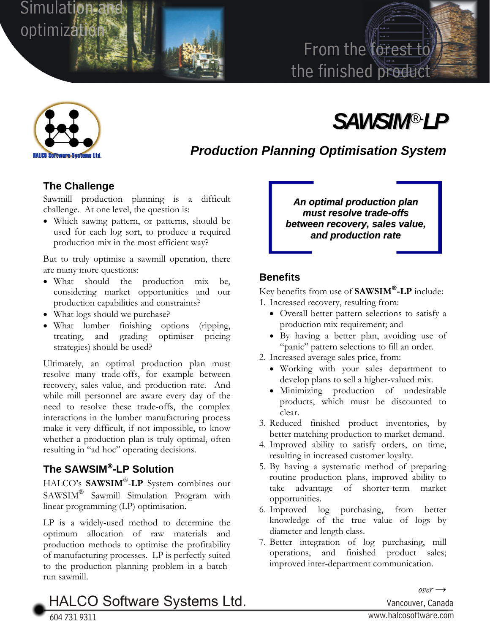

## From the forest to the finished product



# *SAWSIM®- LP*

*Production Planning Optimisation System* 

### **The Challenge**

Sawmill production planning is a difficult challenge. At one level, the question is:

• Which sawing pattern, or patterns, should be used for each log sort, to produce a required production mix in the most efficient way?

But to truly optimise a sawmill operation, there are many more questions:

- What should the production mix be, considering market opportunities and our production capabilities and constraints?
- What logs should we purchase?
- What lumber finishing options (ripping, treating, and grading optimiser pricing strategies) should be used?

Ultimately, an optimal production plan must resolve many trade-offs, for example between recovery, sales value, and production rate. And while mill personnel are aware every day of the need to resolve these trade-offs, the complex interactions in the lumber manufacturing process make it very difficult, if not impossible, to know whether a production plan is truly optimal, often resulting in "ad hoc" operating decisions.

## **The SAWSIM**®**-LP Solution**

HALCO's **SAWSIM**®-**LP** System combines our SAWSIM® Sawmill Simulation Program with linear programming (LP) optimisation.

LP is a widely-used method to determine the optimum allocation of raw materials and production methods to optimise the profitability of manufacturing processes. LP is perfectly suited to the production planning problem in a batchrun sawmill.

*An optimal production plan must resolve trade-offs between recovery, sales value, and production rate*

## **Benefits**

Key benefits from use of **SAWSIM**®**-LP** include: 1. Increased recovery, resulting from:

- Overall better pattern selections to satisfy a production mix requirement; and
- By having a better plan, avoiding use of "panic" pattern selections to fill an order.
- 2. Increased average sales price, from:
	- Working with your sales department to develop plans to sell a higher-valued mix.
	- Minimizing production of undesirable products, which must be discounted to clear.
- 3. Reduced finished product inventories, by better matching production to market demand.
- 4. Improved ability to satisfy orders, on time, resulting in increased customer loyalty.
- 5. By having a systematic method of preparing routine production plans, improved ability to take advantage of shorter-term market opportunities.
- 6. Improved log purchasing, from better knowledge of the true value of logs by diameter and length class.
- 7. Better integration of log purchasing, mill operations, and finished product sales; improved inter-department communication.

HALCO Software Systems Ltd. Vancouver, Canada

604 731 9311 <sup>W</sup>ww.halcosoftware.com